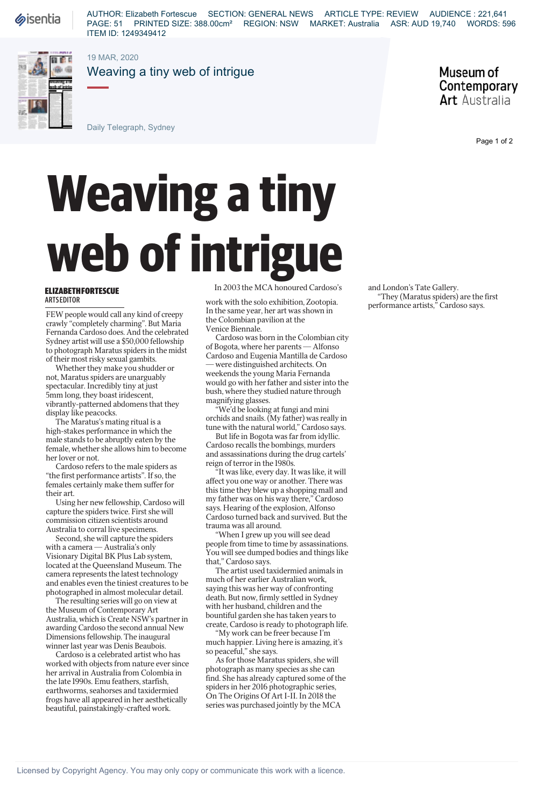**Sisentia** 

AUTHOR: Elizabeth Fortescue SECTION: GENERAL NEWS ARTICLE TYPE: REVIEW AUDIENCE : 221,641 PAGE: 51 PRINTED SIZE: 388.00cm² REGION: NSW MARKET: Australia ASR: AUD 19,740 WORDS: 596 ITEM ID: 1249349412



19 MAR, 2020

Weaving a tiny web of intrigue

Museum of Contemporary **Art** Australia

Daily Telegraph, Sydney

## **Weh of intrigue ELIZABETHFORTESCUE**<br>
In 2003 the MCA honoured Cardoso's<br>
NETSEDITOR<br>
TEW people would call any kind of creepy<br>
the Colombian payllion at the

## **ELIZABETH FORTESCUE ARTS EDITOR**

FEW people would call any kind of creepy crawly "completely charming". But Maria Fernanda Cardoso does. And the celebrated Sydney artist will use a \$50,000 fellowship to photograph Maratus spiders in the midst of their most risky sexual gambits.

Whether they make you shudder or not, Maratus spiders are unarguably spectacular. Incredibly tiny at just 5mm long, they boast iridescent, vibrantly-patterned abdomens that they display like peacocks.

The Maratus's mating ritual is a high-stakes performance in which the male stands to be abruptly eaten by the female, whether she allows him to become her lover or not.

Cardoso refers to the male spiders as "the first performance artists". If so, the females certainly make them suffer for their art.

Using her new fellowship, Cardoso will capture the spiders twice. First she will commission citizen scientists around Australia to corral live specimens.

Second, she will capture the spiders with a camera — Australia's only Visionary Digital BK Plus Lab system, located at the Queensland Museum. The camera represents the latest technology and enables even the tiniest creatures to be photographed in almost molecular detail.

The resulting series will go on view at the Museum of Contemporary Art Australia, which is Create NSW's partner in awarding Cardoso the second annual New Dimensions fellowship. The inaugural winner last year was Denis Beaubois.

Cardoso is a celebrated artist who has worked with objects from nature ever since her arrival in Australia from Colombia in the late 1990s. Emu feathers, starfish, earthworms, seahorses and taxidermied frogs have all appeared in her aesthetically beautiful, painstakingly-crafted work.

In 2003 the MCA honoured Cardoso's

work with the solo exhibition, Zootopia. In the same year, her art was shown in the Colombian pavilion at the Venice Biennale.

Cardoso was born in the Colombian city of Bogota, where her parents — Alfonso Cardoso and Eugenia Mantilla de Cardoso were distinguished architects. On weekends the young Maria Fernanda would go with her father and sister into the bush, where they studied nature through magnifying glasses.

"We'd be looking at fungi and mini orchids and snails. (My father) was really in tune with the natural world," Cardoso says.

But life in Bogota was far from idyllic. Cardoso recalls the bombings, murders and assassinations during the drug cartels' reign of terror in the 1980s.

"It was like, every day. It was like, it will affect you one way or another. There was this time they blew up a shopping mall and my father was on his way there," Cardoso says. Hearing of the explosion, Alfonso Cardoso turned back and survived. But the trauma was all around.

"When I grew up you will see dead people from time to time by assassinations. You will see dumped bodies and things like that," Cardoso says.

The artist used taxidermied animals in much of her earlier Australian work, saying this was her way of confronting death. But now, firmly settled in Sydney with her husband, children and the bountiful garden she has taken years to create, Cardoso is ready to photograph life.

"My work can be freer because I'm much happier. Living here is amazing, it's so peaceful," she says.

As for those Maratus spiders, she will photograph as many species as she can find. She has already captured some of the spiders in her 2016 photographic series, On The Origins Of Art I-II. In 2018 the series was purchased jointly by the MCA

and London's Tate Gallery. "They (Maratus spiders) are the first performance artists," Cardoso says.

Page 1 of 2